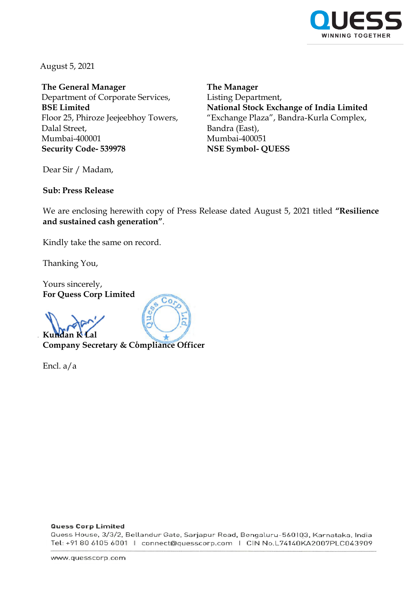

August 5, 2021

**The General Manager** Department of Corporate Services, **BSE Limited** Floor 25, Phiroze Jeejeebhoy Towers, Dalal Street, Mumbai-400001 **Security Code- 539978**

**The Manager** Listing Department, **National Stock Exchange of India Limited** "Exchange Plaza", Bandra-Kurla Complex, Bandra (East), Mumbai-400051 **NSE Symbol- QUESS**

Dear Sir / Madam,

**Sub: Press Release** 

We are enclosing herewith copy of Press Release dated August 5, 2021 titled **"Resilience and sustained cash generation"**.

Kindly take the same on record.

Thanking You,

Yours sincerely, **For Quess Corp Limited**

**Kundan K Lal**

**Company Secretary & Compliance Officer**

Co.

Encl. a/a

#### **Quess Corp Limited**

Quess House, 3/3/2, Bellandur Gate, Sarjapur Road, Bengaluru-560103, Karnataka, India Tel: +91 80 6105 6001 | connect@quesscorp.com | CIN No.L74140KA2007PLC043909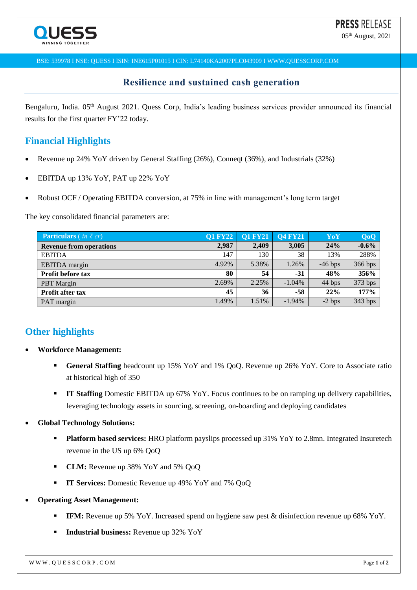05<sup>th</sup> August, 2021

BSE: 539978 I NSE: QUESS I ISIN: INE615P01015 I CIN: L74140KA2007PLC043909 I WWW.QUESSCORP.COM

## **Resilience and sustained cash generation**

Bengaluru, India. 05<sup>th</sup> August 2021. Quess Corp, India's leading business services provider announced its financial results for the first quarter FY'22 today.

## **Financial Highlights**

- Revenue up 24% YoY driven by General Staffing (26%), Conneqt (36%), and Industrials (32%)
- EBITDA up 13% YoY, PAT up 22% YoY
- Robust OCF / Operating EBITDA conversion, at 75% in line with management's long term target

The key consolidated financial parameters are:

| <b>Particulars</b> ( <i>in</i> $\bar{\tau}$ <i>cr</i> ) | <b>Q1 FY22</b> | <b>O1 FY21</b> | <b>Q4 FY21</b> | YoY       | <b>QoQ</b> |
|---------------------------------------------------------|----------------|----------------|----------------|-----------|------------|
| <b>Revenue from operations</b>                          | 2,987          | 2,409          | 3,005          | 24%       | $-0.6%$    |
| <b>EBITDA</b>                                           | 147            | 130            | 38             | 13%       | 288%       |
| EBITDA margin                                           | 4.92%          | 5.38%          | 1.26%          | $-46$ bps | 366 bps    |
| Profit before tax                                       | 80             | 54             | $-31$          | 48%       | 356%       |
| <b>PBT</b> Margin                                       | 2.69%          | 2.25%          | $-1.04\%$      | 44 bps    | 373 bps    |
| <b>Profit after tax</b>                                 | 45             | 36             | $-58$          | 22%       | 177%       |
| PAT margin                                              | 1.49%          | 1.51%          | $-1.94\%$      | $-2$ bps  | 343 bps    |

# **Other highlights**

- **Workforce Management:**
	- **General Staffing** headcount up 15% YoY and 1% QoQ. Revenue up 26% YoY. Core to Associate ratio at historical high of 350
	- **IT Staffing** Domestic EBITDA up 67% YoY. Focus continues to be on ramping up delivery capabilities, leveraging technology assets in sourcing, screening, on-boarding and deploying candidates
- **Global Technology Solutions:**
	- **Platform based services:** HRO platform payslips processed up 31% YoY to 2.8mn. Integrated Insuretech revenue in the US up 6% QoQ
	- **CLM:** Revenue up 38% YoY and 5% QoQ
	- **IT Services:** Domestic Revenue up 49% YoY and 7% QoQ
- **Operating Asset Management:**
	- **IFM:** Revenue up 5% YoY. Increased spend on hygiene saw pest & disinfection revenue up 68% YoY.
	- **Industrial business:** Revenue up 32% YoY